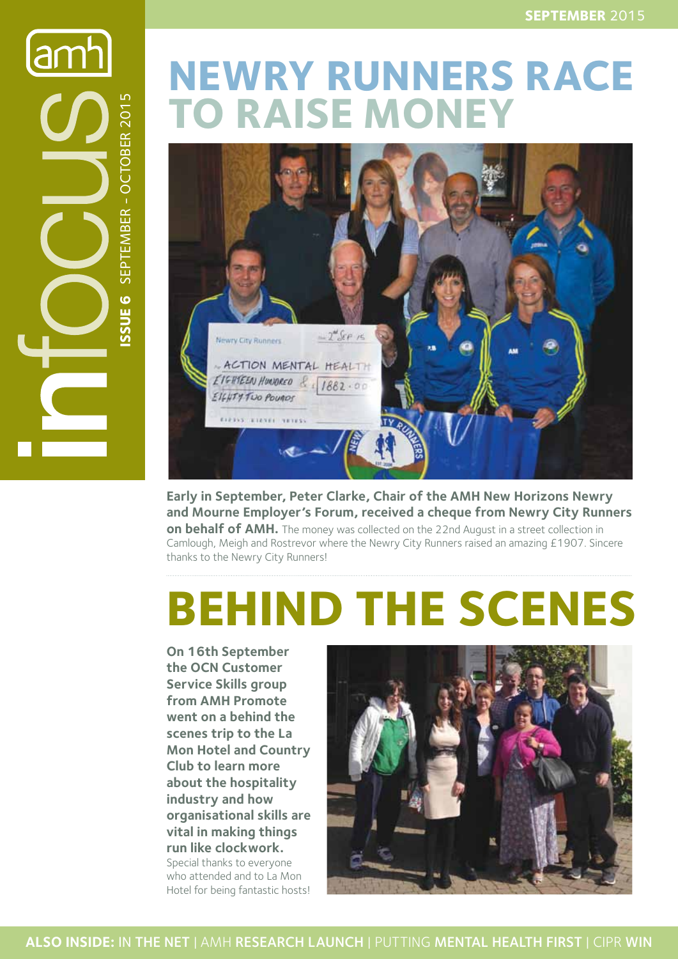**amh Issue 6** SEPTEMBER - OCTOBER 2015 SEPTEMBER - OCTOBER 201 SSUE<sub>6</sub>

# **NEWRY RUNNERS RACE TO RAISE MONEY**



**Early in September, Peter Clarke, Chair of the AMH New Horizons Newry and Mourne Employer's Forum, received a cheque from Newry City Runners on behalf of AMH.** The money was collected on the 22nd August in a street collection in Camlough, Meigh and Rostrevor where the Newry City Runners raised an amazing £1907. Sincere thanks to the Newry City Runners!

# **BEHIND THE SCENES**

**On 16th September the OCN Customer Service Skills group from AMH Promote went on a behind the scenes trip to the La Mon Hotel and Country Club to learn more about the hospitality industry and how organisational skills are vital in making things run like clockwork.** Special thanks to everyone who attended and to La Mon Hotel for being fantastic hosts!

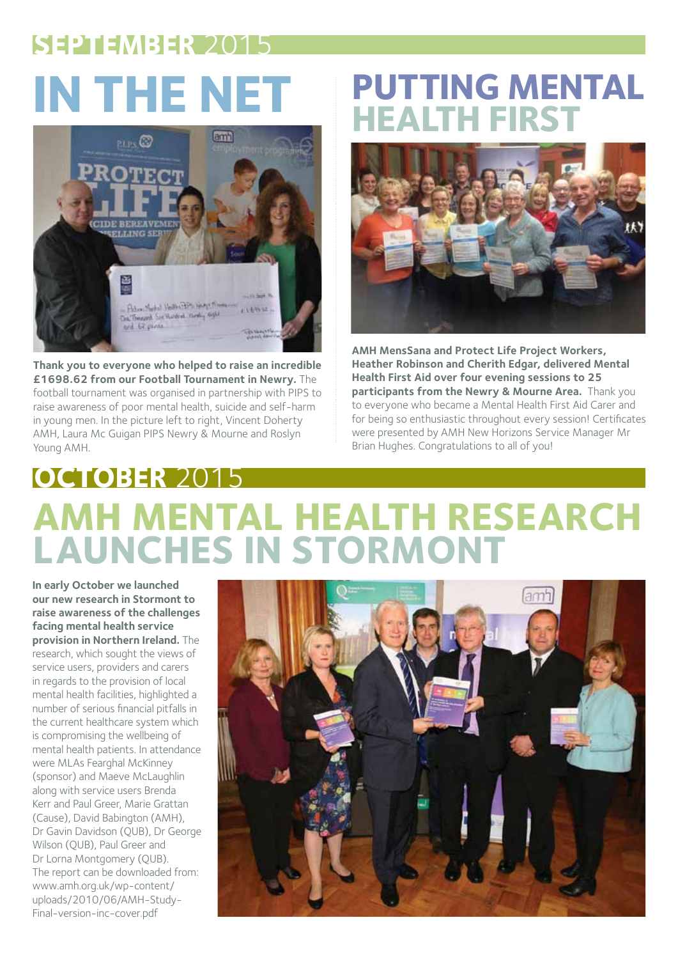# **SEPTEMBER** 2015



**Thank you to everyone who helped to raise an incredible £1698.62 from our Football Tournament in Newry.** The football tournament was organised in partnership with PIPS to raise awareness of poor mental health, suicide and self-harm in young men. In the picture left to right, Vincent Doherty AMH, Laura Mc Guigan PIPS Newry & Mourne and Roslyn Young AMH.

## **IN THE NET PUTTING MENTAL HEALTH FIRST**



**AMH MensSana and Protect Life Project Workers, Heather Robinson and Cherith Edgar, delivered Mental Health First Aid over four evening sessions to 25 participants from the Newry & Mourne Area.** Thank you to everyone who became a Mental Health First Aid Carer and for being so enthusiastic throughout every session! Certificates were presented by AMH New Horizons Service Manager Mr Brian Hughes. Congratulations to all of you!

# **OCTOBER** 2015 **AMH MENTAL HEALTH RESEARCH LAUNCHES IN STORMONT**

**In early October we launched our new research in Stormont to raise awareness of the challenges facing mental health service provision in Northern Ireland.** The research, which sought the views of service users, providers and carers in regards to the provision of local mental health facilities, highlighted a number of serious financial pitfalls in the current healthcare system which is compromising the wellbeing of mental health patients. In attendance were MLAs Fearghal McKinney (sponsor) and Maeve McLaughlin along with service users Brenda Kerr and Paul Greer, Marie Grattan (Cause), David Babington (AMH), Dr Gavin Davidson (QUB), Dr George Wilson (QUB), Paul Greer and Dr Lorna Montgomery (QUB). The report can be downloaded from: www.amh.org.uk/wp-content/ uploads/2010/06/AMH-Study-Final-version-inc-cover.pdf

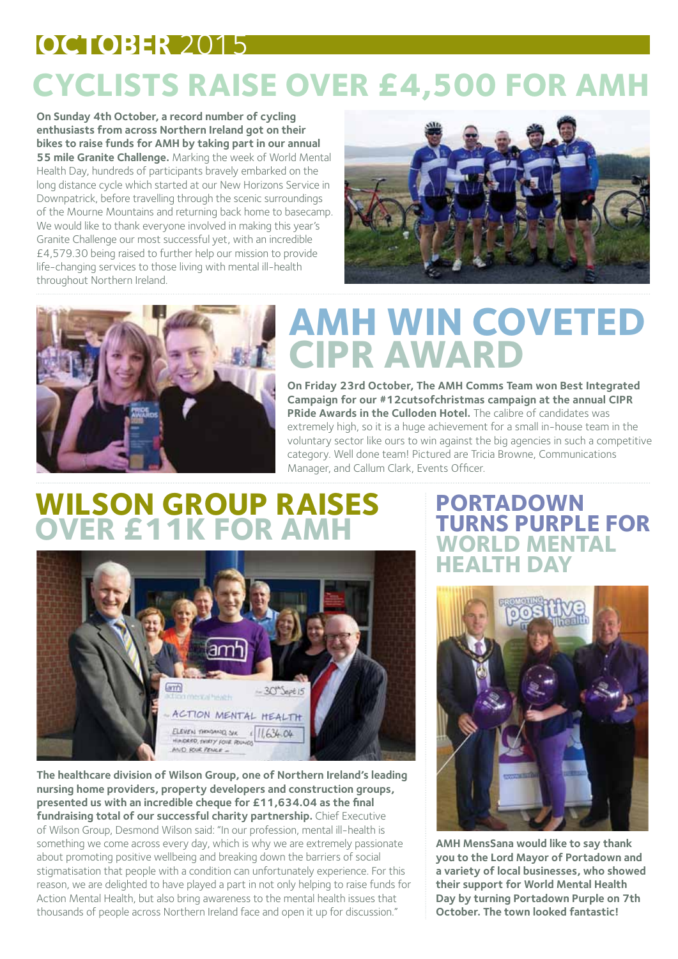## **OCTOBER** 2015 **CYCLISTS RAISE OVER £4,500 FOR AMH**

**On Sunday 4th October, a record number of cycling enthusiasts from across Northern Ireland got on their bikes to raise funds for AMH by taking part in our annual 55 mile Granite Challenge.** Marking the week of World Mental Health Day, hundreds of participants bravely embarked on the long distance cycle which started at our New Horizons Service in Downpatrick, before travelling through the scenic surroundings of the Mourne Mountains and returning back home to basecamp. We would like to thank everyone involved in making this year's Granite Challenge our most successful yet, with an incredible £4,579.30 being raised to further help our mission to provide life-changing services to those living with mental ill-health throughout Northern Ireland.





# **AMH WIN COVETED CIPR AWARD**

**On Friday 23rd October, The AMH Comms Team won Best Integrated Campaign for our #12cutsofchristmas campaign at the annual CIPR PRide Awards in the Culloden Hotel.** The calibre of candidates was extremely high, so it is a huge achievement for a small in-house team in the voluntary sector like ours to win against the big agencies in such a competitive category. Well done team! Pictured are Tricia Browne, Communications Manager, and Callum Clark, Events Officer.

#### **WILSON GROUP RAIS OVER £11K FOR AMH**



**The healthcare division of Wilson Group, one of Northern Ireland's leading nursing home providers, property developers and construction groups, presented us with an incredible cheque for £11,634.04 as the final**  fundraising total of our successful charity partnership. Chief Executive of Wilson Group, Desmond Wilson said: "In our profession, mental ill-health is something we come across every day, which is why we are extremely passionate about promoting positive wellbeing and breaking down the barriers of social stigmatisation that people with a condition can unfortunately experience. For this reason, we are delighted to have played a part in not only helping to raise funds for Action Mental Health, but also bring awareness to the mental health issues that thousands of people across Northern Ireland face and open it up for discussion."

#### **PORTADOWN TURNS PURPLE FOR WORLD MENTAL HEALTH DAY**



**AMH MensSana would like to say thank you to the Lord Mayor of Portadown and a variety of local businesses, who showed their support for World Mental Health Day by turning Portadown Purple on 7th October. The town looked fantastic!**